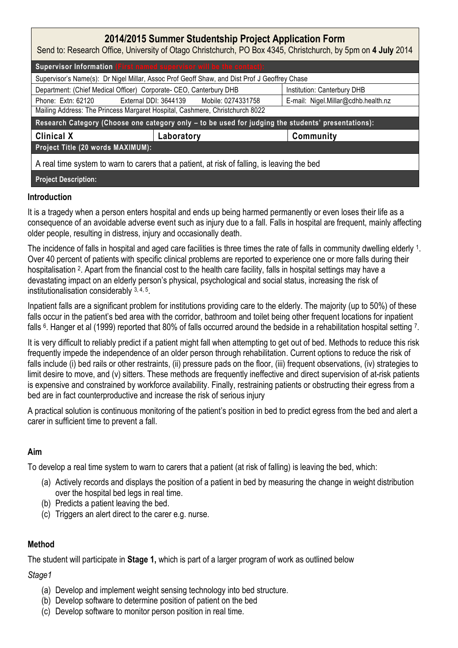| 2014/2015 Summer Studentship Project Application Form<br>Send to: Research Office, University of Otago Christchurch, PO Box 4345, Christchurch, by 5pm on 4 July 2014 |            |                             |
|-----------------------------------------------------------------------------------------------------------------------------------------------------------------------|------------|-----------------------------|
| Supervisor Information (First named supervisor will be the contact):                                                                                                  |            |                             |
| Supervisor's Name(s): Dr Nigel Millar, Assoc Prof Geoff Shaw, and Dist Prof J Geoffrey Chase                                                                          |            |                             |
| Department: (Chief Medical Officer) Corporate- CEO, Canterbury DHB                                                                                                    |            | Institution: Canterbury DHB |
| External DDI: 3644139<br>Phone: Extn: 62120<br>Mobile: 0274331758<br>E-mail: Nigel.Millar@cdhb.health.nz                                                              |            |                             |
| Mailing Address: The Princess Margaret Hospital, Cashmere, Christchurch 8022                                                                                          |            |                             |
| Research Category (Choose one category only - to be used for judging the students' presentations):                                                                    |            |                             |
| <b>Clinical X</b>                                                                                                                                                     | Laboratory | Community                   |
| Project Title (20 words MAXIMUM):                                                                                                                                     |            |                             |
| A real time system to warn to carers that a patient, at risk of falling, is leaving the bed                                                                           |            |                             |
| <b>Project Description:</b>                                                                                                                                           |            |                             |

# **Introduction**

It is a tragedy when a person enters hospital and ends up being harmed permanently or even loses their life as a consequence of an avoidable adverse event such as injury due to a fall. Falls in hospital are frequent, mainly affecting older people, resulting in distress, injury and occasionally death.

The incidence of falls in hospital and aged care facilities is three times the rate of falls in community dwelling elderly 1. Over 40 percent of patients with specific clinical problems are reported to experience one or more falls during their hospitalisation <sup>2</sup>. Apart from the financial cost to the health care facility, falls in hospital settings may have a devastating impact on an elderly person's physical, psychological and social status, increasing the risk of institutionalisation considerably 3, 4, 5 .

Inpatient falls are a significant problem for institutions providing care to the elderly. The majority (up to 50%) of these falls occur in the patient's bed area with the corridor, bathroom and toilet being other frequent locations for inpatient falls  $6$ . Hanger et al (1999) reported that 80% of falls occurred around the bedside in a rehabilitation hospital setting 7.

It is very difficult to reliably predict if a patient might fall when attempting to get out of bed. Methods to reduce this risk frequently impede the independence of an older person through rehabilitation. Current options to reduce the risk of falls include (i) bed rails or other restraints, (ii) pressure pads on the floor, (iii) frequent observations, (iv) strategies to limit desire to move, and (v) sitters. These methods are frequently ineffective and direct supervision of at-risk patients is expensive and constrained by workforce availability. Finally, restraining patients or obstructing their egress from a bed are in fact counterproductive and increase the risk of serious injury

A practical solution is continuous monitoring of the patient's position in bed to predict egress from the bed and alert a carer in sufficient time to prevent a fall.

# **Aim**

To develop a real time system to warn to carers that a patient (at risk of falling) is leaving the bed, which:

- (a) Actively records and displays the position of a patient in bed by measuring the change in weight distribution over the hospital bed legs in real time.
- (b) Predicts a patient leaving the bed.
- (c) Triggers an alert direct to the carer e.g. nurse.

# **Method**

The student will participate in **Stage 1,** which is part of a larger program of work as outlined below

*Stage1*

- (a) Develop and implement weight sensing technology into bed structure.
- (b) Develop software to determine position of patient on the bed
- (c) Develop software to monitor person position in real time.